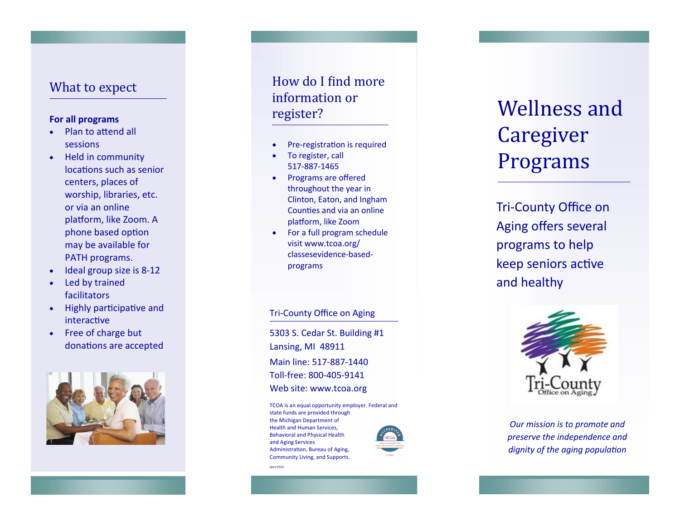### What to expect

#### **For all programs**

- Plan to attend all sessions
- Held in community locations such as senior centers, places of worship, libraries, etc. or via an online platform, like Zoom. A phone based option may be available for PATH programs.
- Ideal group size is 8 -12
- Led by trained facilitators
- Highly participative and interactive
- Free of charge but donations are accepted



## How do I find more information or register?

- Pre-registration is required
- To register, call 517 -887 -1465
- Programs are offered throughout the year in Clinton, Eaton, and Ingham Counties and via an online platform, like Zoom
- For a full program schedule visit www.tcoa.org/ classesevidence -based programs

#### Tri -County Office on Aging

5303 S. Cedar St. Building #1 Lansing, MI 48911 Main line: 517 -887 -1440 Toll -free: 800 -405 -9141 Web site: www.tcoa.org

TCOA is an equal opportunity employer. Federal and state funds are provided through the Michigan Department of Health and Human Services, Behavioral and Physical Health and Aging Services Administration, Bureau of Aging, Community Living, and Supports.

April 2022



# Wellness and Caregiver Programs

Tri -County Office on Aging offers several programs to help keep seniors active and healthy



*Our mission is to promote and preserve the independence and dignity of the aging population*